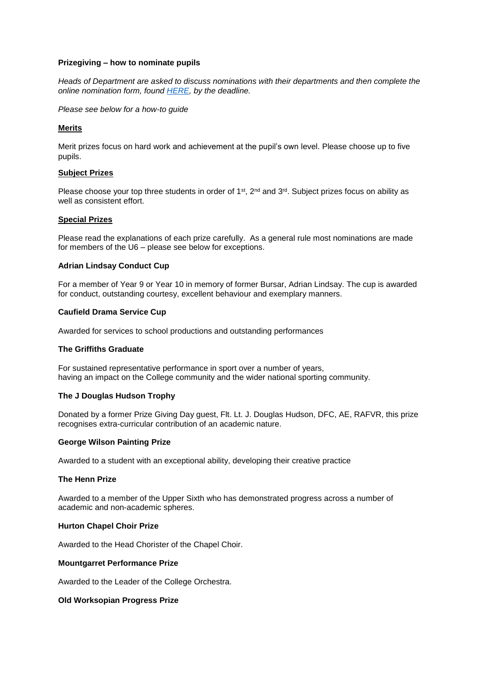# **Prizegiving – how to nominate pupils**

*Heads of Department are asked to discuss nominations with their departments and then complete the online nomination form, found [HERE,](https://www.wsnl.co.uk/form/?pid=149&form=1901) by the deadline.*

*Please see below for a how-to guide* 

# **Merits**

Merit prizes focus on hard work and achievement at the pupil's own level. Please choose up to five pupils.

### **Subject Prizes**

Please choose your top three students in order of  $1<sup>st</sup>$ ,  $2<sup>nd</sup>$  and  $3<sup>rd</sup>$ . Subject prizes focus on ability as well as consistent effort.

### **Special Prizes**

Please read the explanations of each prize carefully. As a general rule most nominations are made for members of the U6 – please see below for exceptions.

### **Adrian Lindsay Conduct Cup**

For a member of Year 9 or Year 10 in memory of former Bursar, Adrian Lindsay. The cup is awarded for conduct, outstanding courtesy, excellent behaviour and exemplary manners.

### **Caufield Drama Service Cup**

Awarded for services to school productions and outstanding performances

### **The Griffiths Graduate**

For sustained representative performance in sport over a number of years, having an impact on the College community and the wider national sporting community.

### **The J Douglas Hudson Trophy**

Donated by a former Prize Giving Day guest, Flt. Lt. J. Douglas Hudson, DFC, AE, RAFVR, this prize recognises extra-curricular contribution of an academic nature.

### **George Wilson Painting Prize**

Awarded to a student with an exceptional ability, developing their creative practice

#### **The Henn Prize**

Awarded to a member of the Upper Sixth who has demonstrated progress across a number of academic and non-academic spheres.

### **Hurton Chapel Choir Prize**

Awarded to the Head Chorister of the Chapel Choir.

### **Mountgarret Performance Prize**

Awarded to the Leader of the College Orchestra.

#### **Old Worksopian Progress Prize**